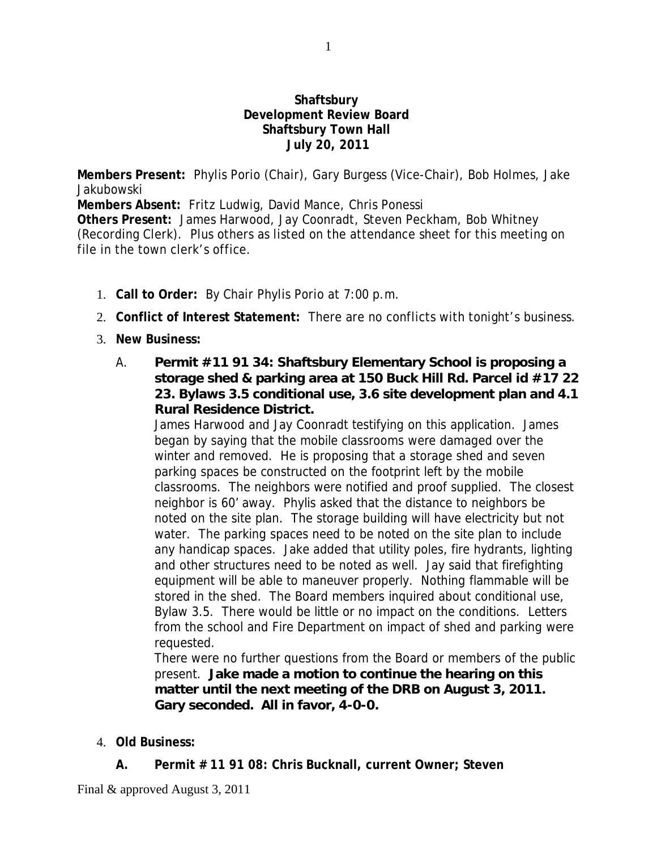## **Shaftsbury Development Review Board Shaftsbury Town Hall July 20, 2011**

**Members Present:** Phylis Porio (Chair), Gary Burgess (Vice-Chair), Bob Holmes, Jake Jakubowski **Members Absent:** Fritz Ludwig, David Mance, Chris Ponessi **Others Present:** James Harwood, Jay Coonradt, Steven Peckham, Bob Whitney (Recording Clerk). Plus others as listed on the attendance sheet for this meeting on file in the town clerk's office.

- 1. **Call to Order:** By Chair Phylis Porio at 7:00 p.m.
- 2. **Conflict of Interest Statement:** There are no conflicts with tonight's business.
- 3. **New Business:**
	- A. **Permit #11 91 34: Shaftsbury Elementary School is proposing a storage shed & parking area at 150 Buck Hill Rd. Parcel id #17 22 23. Bylaws 3.5 conditional use, 3.6 site development plan and 4.1 Rural Residence District.**

James Harwood and Jay Coonradt testifying on this application. James began by saying that the mobile classrooms were damaged over the winter and removed. He is proposing that a storage shed and seven parking spaces be constructed on the footprint left by the mobile classrooms. The neighbors were notified and proof supplied. The closest neighbor is 60' away. Phylis asked that the distance to neighbors be noted on the site plan. The storage building will have electricity but not water. The parking spaces need to be noted on the site plan to include any handicap spaces. Jake added that utility poles, fire hydrants, lighting and other structures need to be noted as well. Jay said that firefighting equipment will be able to maneuver properly. Nothing flammable will be stored in the shed. The Board members inquired about conditional use, Bylaw 3.5. There would be little or no impact on the conditions. Letters from the school and Fire Department on impact of shed and parking were requested.

There were no further questions from the Board or members of the public present. **Jake made a motion to continue the hearing on this matter until the next meeting of the DRB on August 3, 2011. Gary seconded. All in favor, 4-0-0.**

- 4. **Old Business:**
	- **A. Permit # 11 91 08: Chris Bucknall, current Owner; Steven**